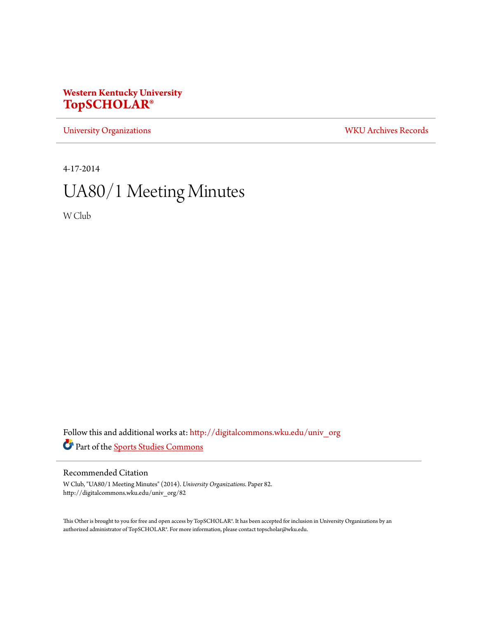### **Western Kentucky University [TopSCHOLAR®](http://digitalcommons.wku.edu?utm_source=digitalcommons.wku.edu%2Funiv_org%2F82&utm_medium=PDF&utm_campaign=PDFCoverPages)**

[University Organizations](http://digitalcommons.wku.edu/univ_org?utm_source=digitalcommons.wku.edu%2Funiv_org%2F82&utm_medium=PDF&utm_campaign=PDFCoverPages) [WKU Archives Records](http://digitalcommons.wku.edu/dlsc_ua_records?utm_source=digitalcommons.wku.edu%2Funiv_org%2F82&utm_medium=PDF&utm_campaign=PDFCoverPages)

4-17-2014

# UA80/1 Meeting Minutes

W Club

Follow this and additional works at: [http://digitalcommons.wku.edu/univ\\_org](http://digitalcommons.wku.edu/univ_org?utm_source=digitalcommons.wku.edu%2Funiv_org%2F82&utm_medium=PDF&utm_campaign=PDFCoverPages) Part of the [Sports Studies Commons](http://network.bepress.com/hgg/discipline/1198?utm_source=digitalcommons.wku.edu%2Funiv_org%2F82&utm_medium=PDF&utm_campaign=PDFCoverPages)

#### Recommended Citation

W Club, "UA80/1 Meeting Minutes" (2014). *University Organizations.* Paper 82. http://digitalcommons.wku.edu/univ\_org/82

This Other is brought to you for free and open access by TopSCHOLAR®. It has been accepted for inclusion in University Organizations by an authorized administrator of TopSCHOLAR®. For more information, please contact topscholar@wku.edu.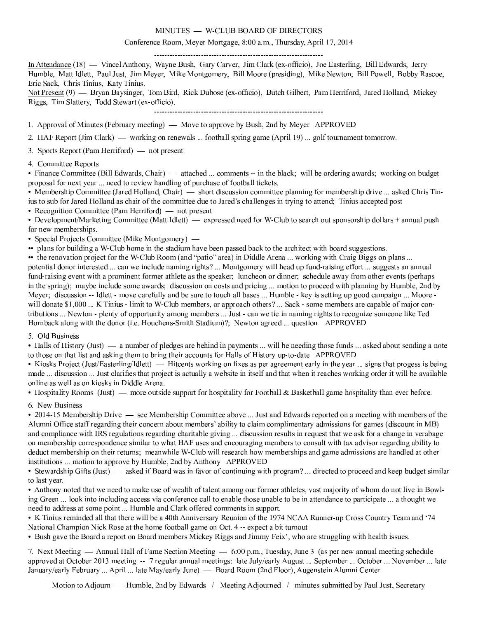#### MINUTES - W-CLUB BOARD OF DIRECTORS

#### Conference Room, Meyer Mortgage, 8:00 a.m., Thursday, April 17, 2014

In Attendance (18) — Vincel Anthony, Wayne Bush, Gary Carver, Jim Clark (ex-officio), Joe Easterling, Bill Edwards, Jerry Humble, Matt Idlett, Paul Just, Jim Meyer, Mike Montgomery, Bill Moore (presiding), Mike Newton, Bill Powell, Bobby Rascoe, Eric Sack, Chris Tinius, Katy Tinius.

Not Present (9) — Bryan Baysinger, Tom Bird, Rick Dubose (ex-officio), Butch Gilbert, Pam Herriford, Jared Holland, Mickey Riggs, Tim Slattery, Todd Stewart (ex-officio).

1. Approval of Minutes (February meeting) — Move to approve by Bush, 2nd by Meyer APPROVED

2. HAF Report (Jim Clark) — working on renewals ... football spring game (April 19) ... golf tournament tomorrow.

3. Sports Report (Pam Herriford) — not present

4. Committee Reports

• Finance Committee (Bill Edwards, Chair) — attached ... comments -- in the black; will be ordering awards; working on budget proposal for next year ... need to review handling of purchase of football tickets.

• Membership Committee (Jared Holland, Chair) — short discussion committee planning for membership drive ... asked Chris Tinius to sub for Jared Holland as chair of the committee due to Jared's challenges in trying to attend; Tinius accepted post

• Recognition Committee (Pam Herriford)  $-$  not present

• Development/Marketing Committee (Matt Idlett)  $-$  expressed need for W-Club to search out sponsorship dollars + annual push for new memberships.

• Special Projects Committee (Mike Montgomery) —

• plans for building a W-Club home in the stadium have been passed back to the architect with board suggestions.

•• the renovation project for the W-Club Room (and "patio" area) in Diddle Arena ... working with Craig Biggs on plans ...

potential donor interested ... can we include naming rights? ... Montgomery will head up fund-raising effort ... suggests an annual fund-raising event with a prominent former athlete as the speaker; luncheon or dinner; schedule away from other events (perhaps in the spring); maybe include some awards; discussion on costs and pricing ... motion to proceed with planning by Humble, 2nd by Meyer; discussion -- Idlett - move carefully and be sure to touch all bases ... Humble - key is setting up good campaign ... Moore will donate \$1,000 ... K Tinius - limit to W-Club members, or approach others? ... Sack - some members are capable of major contributions ... Newton - plenty of opportunity among members ... Just - can we tie in naming rights to recognize someone like Ted Hornback along with the donor (i.e. Houchens-Smith Stadium)?; Newton agreed ... question APPROVED

5. Old Business

• Halls of History (Just) — a number of pledges are behind in payments ... will be needing those funds ... asked about sending a note to those on that list and asking them to bring their accounts for Halls of History up-to-date APPROVED

• Kiosks Project (Just/Easterling/Idlett) — Hitcents working on fixes as per agreement early in the year ... signs that progess is being made ... discussion ... Just clarifies that project is actually a website in itself and that when it reaches working order it will be available online as well as on kiosks in Diddle Arena.

• Hospitality Rooms (Just) — more outside support for hospitality for Football & Basketball game hospitality than ever before.

6. New Business

• 2014-15 Membership Drive — see Membership Committee above ... Just and Edwards reported on a meeting with members of the Alumni Office staff regarding their concern about members' ability to claim complimentary admissions for games (discount in MB) and compliance with IRS regulations regarding charitable giving ... discussion results in request that we ask for a change in verabage on membership correspondence similar to what HAF uses and encouraging members to consult with tax advisor regarding ability to deduct membership on their returns; meanwhile W-Club will research how memberships and game admissions are handled at other institutions ... motion to approve by Humble, 2nd by Anthony APPROVED

• Stewardship Gifts (Just) — asked if Board was in favor of continuing with program? ... directed to proceed and keep budget similar to last year.

• Anthony noted that we need to make use of wealth of talent among our former athletes, vast majority of whom do not live in Bowling Green ... look into including access via conference call to enable those unable to be in attendance to participate ... a thought we need to address at some point ... Humble and Clark offered comments in support.

• K Tinius reminded all that there will be a 40th Anniversary Reunion of the 1974 NCAA Runner-up Cross Country Team and '74 National Champion Nick Rose at the home football game on Oct. 4 -- expect a bit turnout

• Bush gave the Board a report on Board members Mickey Riggs and Jimmy Feix', who are struggling with health issues.

7. Next Meeting - Annual Hall of Fame Section Meeting - 6:00 p.m., Tuesday, June 3 (as per new annual meeting schedule approved at October 2013 meeting -- 7 regular annual meetings: late July/early August ... September ... October ... November ... late January/early February ... April ... late May/early June) - Board Room (2nd Floor), Augenstein Alumni Center

Motion to Adjourn — Humble, 2nd by Edwards / Meeting Adjourned / minutes submitted by Paul Just, Secretary